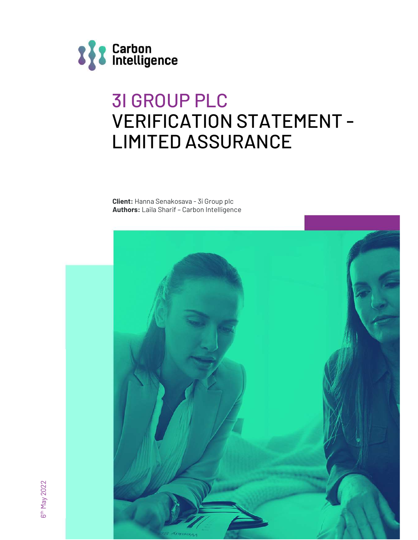

# 3I GROUP PLC VERIFICATION STATEMENT - LIMITED ASSURANCE

Client: Hanna Senakosava - 3i Group plc Authors: Laila Sharif – Carbon Intelligence

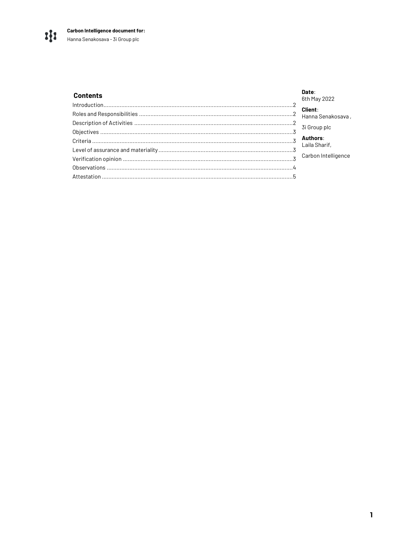#### Date: **Contents** 6th May 2022 **Client:** Hanna Senakosava, 3i Group plc Authors: Laila Sharif, Carbon Intelligence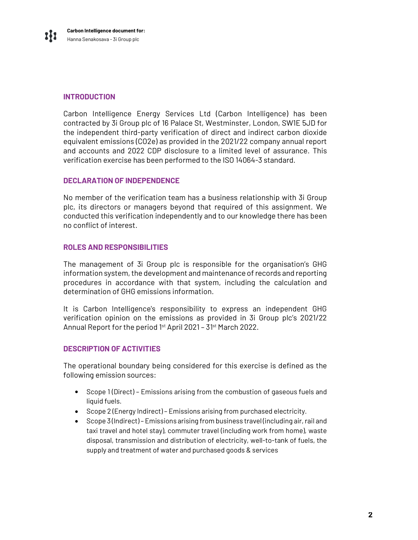### INTRODUCTION

Carbon Intelligence Energy Services Ltd (Carbon Intelligence) has been contracted by 3i Group plc of 16 Palace St, Westminster, London, SW1E 5JD for the independent third-party verification of direct and indirect carbon dioxide equivalent emissions (CO2e) as provided in the 2021/22 company annual report and accounts and 2022 CDP disclosure to a limited level of assurance. This verification exercise has been performed to the ISO 14064-3 standard.

#### DECLARATION OF INDEPENDENCE

No member of the verification team has a business relationship with 3i Group plc, its directors or managers beyond that required of this assignment. We conducted this verification independently and to our knowledge there has been no conflict of interest.

#### ROLES AND RESPONSIBILITIES

The management of 3i Group plc is responsible for the organisation's GHG information system, the development and maintenance of records and reporting procedures in accordance with that system, including the calculation and determination of GHG emissions information.

It is Carbon Intelligence's responsibility to express an independent GHG verification opinion on the emissions as provided in 3i Group plc's 2021/22 Annual Report for the period 1<sup>st</sup> April 2021 - 31<sup>st</sup> March 2022.

#### DESCRIPTION OF ACTIVITIES

The operational boundary being considered for this exercise is defined as the following emission sources:

- Scope 1 (Direct) Emissions arising from the combustion of gaseous fuels and liquid fuels.
- Scope 2 (Energy Indirect) Emissions arising from purchased electricity.
- Scope 3 (Indirect) Emissions arising from business travel (including air, rail and taxi travel and hotel stay), commuter travel (including work from home), waste disposal, transmission and distribution of electricity, well-to-tank of fuels, the supply and treatment of water and purchased goods & services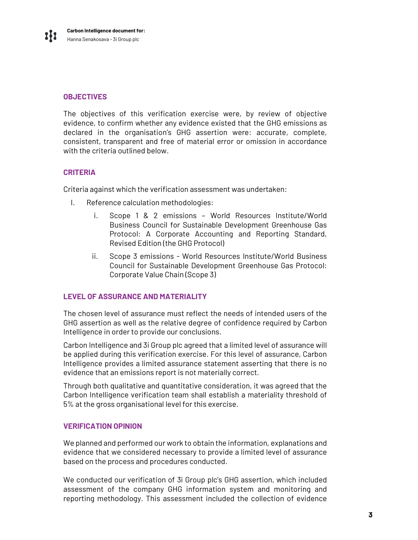### **OBJECTIVES**

The objectives of this verification exercise were, by review of objective evidence, to confirm whether any evidence existed that the GHG emissions as declared in the organisation's GHG assertion were: accurate, complete, consistent, transparent and free of material error or omission in accordance with the criteria outlined below.

#### **CRITERIA**

Criteria against which the verification assessment was undertaken:

- I. Reference calculation methodologies:
	- i. Scope 1 & 2 emissions World Resources Institute/World Business Council for Sustainable Development Greenhouse Gas Protocol: A Corporate Accounting and Reporting Standard, Revised Edition (the GHG Protocol)
	- ii. Scope 3 emissions World Resources Institute/World Business Council for Sustainable Development Greenhouse Gas Protocol: Corporate Value Chain (Scope 3)

#### LEVEL OF ASSURANCE AND MATERIALITY

The chosen level of assurance must reflect the needs of intended users of the GHG assertion as well as the relative degree of confidence required by Carbon Intelligence in order to provide our conclusions.

Carbon Intelligence and 3i Group plc agreed that a limited level of assurance will be applied during this verification exercise. For this level of assurance, Carbon Intelligence provides a limited assurance statement asserting that there is no evidence that an emissions report is not materially correct.

Through both qualitative and quantitative consideration, it was agreed that the Carbon Intelligence verification team shall establish a materiality threshold of 5% at the gross organisational level for this exercise.

#### VERIFICATION OPINION

We planned and performed our work to obtain the information, explanations and evidence that we considered necessary to provide a limited level of assurance based on the process and procedures conducted.

 We conducted our verification of 3i Group plc's GHG assertion, which included assessment of the company GHG information system and monitoring and reporting methodology. This assessment included the collection of evidence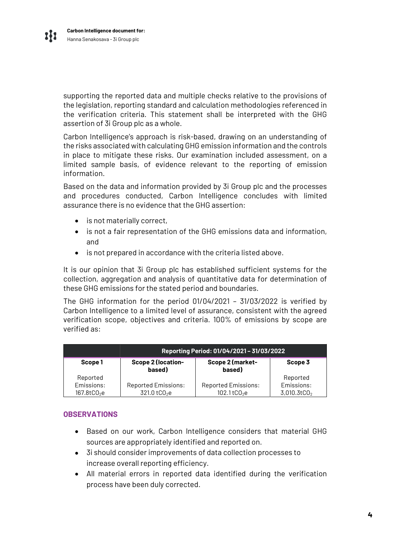supporting the reported data and multiple checks relative to the provisions of the legislation, reporting standard and calculation methodologies referenced in the verification criteria. This statement shall be interpreted with the GHG assertion of 3i Group plc as a whole.

Carbon Intelligence's approach is risk-based, drawing on an understanding of the risks associated with calculating GHG emission information and the controls in place to mitigate these risks. Our examination included assessment, on a limited sample basis, of evidence relevant to the reporting of emission information.

Based on the data and information provided by 3i Group plc and the processes and procedures conducted, Carbon Intelligence concludes with limited assurance there is no evidence that the GHG assertion:

- is not materially correct,
- is not a fair representation of the GHG emissions data and information, and
- is not prepared in accordance with the criteria listed above.

It is our opinion that 3i Group plc has established sufficient systems for the collection, aggregation and analysis of quantitative data for determination of these GHG emissions for the stated period and boundaries.

The GHG information for the period 01/04/2021 – 31/03/2022 is verified by Carbon Intelligence to a limited level of assurance, consistent with the agreed verification scope, objectives and criteria. 100% of emissions by scope are verified as:

|                  | Reporting Period: 01/04/2021 - 31/03/2022 |                            |                   |
|------------------|-------------------------------------------|----------------------------|-------------------|
| Scope 1          | <b>Scope 2 (location-</b><br>based)       | Scope 2 (market-<br>based) | Scope 3           |
| Reported         |                                           |                            | Reported          |
| Emissions:       | <b>Reported Emissions:</b>                | <b>Reported Emissions:</b> | Emissions:        |
| $167.8$ t $CO2e$ | 321.0 tCO <sub>2</sub> e                  | $102.1$ t $CO2e$           | $3,010.3$ t $CO2$ |

#### **OBSERVATIONS**

- Based on our work, Carbon Intelligence considers that material GHG sources are appropriately identified and reported on.
- 3i should consider improvements of data collection processes to increase overall reporting efficiency.
- All material errors in reported data identified during the verification process have been duly corrected.